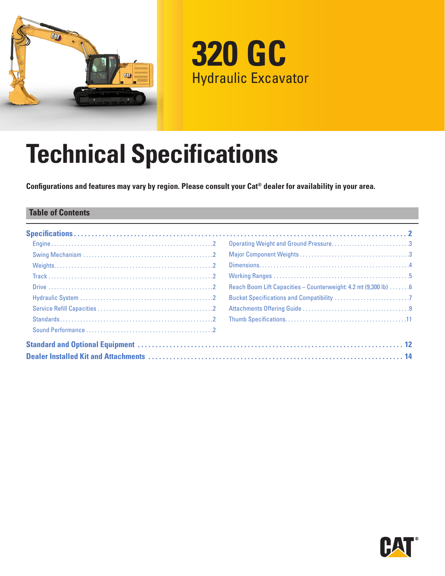

**320 GC** Hydraulic Excavator

# **Technical Specifications**

**Configurations and features may vary by region. Please consult your Cat® dealer for availability in your area.**

## **Table of Contents**

| Operating Weight and Ground Pressure3                            |
|------------------------------------------------------------------|
|                                                                  |
|                                                                  |
|                                                                  |
| Reach Boom Lift Capacities - Counterweight: 4.2 mt (9,300 lb)  6 |
|                                                                  |
|                                                                  |
|                                                                  |
|                                                                  |
|                                                                  |
|                                                                  |

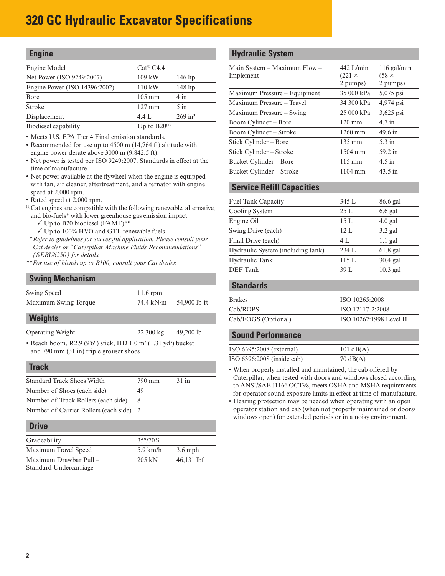<span id="page-1-0"></span>

| <b>Engine</b>                 |                      |                       |
|-------------------------------|----------------------|-----------------------|
| Engine Model                  | $Cat^{\otimes}$ C4.4 |                       |
| Net Power (ISO 9249:2007)     | 109 kW               | $146$ hp              |
| Engine Power (ISO 14396:2002) | $110$ kW             | 148 hp                |
| Bore                          | $105 \text{ mm}$     | 4 in                  |
| Stroke                        | $127 \text{ mm}$     | $5 \infty$            |
| Displacement                  | 4.4 L                | $269$ in <sup>3</sup> |
| _                             |                      |                       |

Biodiesel capability  $Up to B20^{(1)}$ 

• Meets U.S. EPA Tier 4 Final emission standards.

- Recommended for use up to 4500 m (14,764 ft) altitude with engine power derate above 3000 m (9,842.5 ft).
- Net power is tested per ISO 9249:2007. Standards in effect at the time of manufacture.
- Net power available at the flywheel when the engine is equipped with fan, air cleaner, aftertreatment, and alternator with engine speed at 2,000 rpm.
- Rated speed at 2,000 rpm.
- (1)Cat engines are compatible with the following renewable, alternative, and bio-fuels\* with lower greenhouse gas emission impact:
	- $\checkmark$  Up to B20 biodiesel (FAME)\*\*
	- $\checkmark$  Up to 100% HVO and GTL renewable fuels
- *\*Refer to guidelines for successful application. Please consult your Cat dealer or "Caterpillar Machine Fluids Recommendations" (SEBU6250) for details.*
- *\*\*For use of blends up to B100, consult your Cat dealer.*

#### **Swing Mechanism**

| Swing Speed          | $11.6$ rpm |              |
|----------------------|------------|--------------|
| Maximum Swing Torque | 74.4 kN·m  | 54,900 lb-ft |

#### **Weights**

Operating Weight 22 300 kg 49,200 lb

• Reach boom, R2.9 (9'6") stick, HD  $1.0 \text{ m}^3$  (1.31 yd<sup>3</sup>) bucket and 790 mm (31 in) triple grouser shoes.

#### **Track**

| <b>Standard Track Shoes Width</b>     | 790 mm | $31$ in |  |
|---------------------------------------|--------|---------|--|
| Number of Shoes (each side)           | 49     |         |  |
| Number of Track Rollers (each side)   |        |         |  |
| Number of Carrier Rollers (each side) |        |         |  |

#### **Drive**

| Gradeability           | $35^{\circ}/70\%$  |              |
|------------------------|--------------------|--------------|
| Maximum Travel Speed   | $5.9 \text{ km/h}$ | $3.6$ mph    |
| Maximum Drawbar Pull - | $205 \text{ kN}$   | $46,131$ lbf |
| Standard Undercarriage |                    |              |

#### **Hydraulic System**

| $442$ L/min      | $116$ gal/min     |
|------------------|-------------------|
| $(221 \times$    | $(58 \times$      |
| 2 pumps)         | 2 pumps)          |
| 35 000 kPa       | 5,075 psi         |
| 34 300 kPa       | 4,974 psi         |
| 25 000 kPa       | 3,625 psi         |
| $120 \text{ mm}$ | $4.7$ in          |
| $1260$ mm        | 49.6 in           |
| $135 \text{ mm}$ | $5.3$ in          |
| $1504$ mm        | 59.2 in           |
| $115 \text{ mm}$ | $4.5$ in          |
| 1104 mm          | $43.5 \text{ in}$ |
|                  |                   |

#### **Service Refill Capacities**

| <b>Fuel Tank Capacity</b>         | 345 L | 86.6 gal   |
|-----------------------------------|-------|------------|
| Cooling System                    | 25 L  | $6.6$ gal  |
| Engine Oil                        | 15L   | $4.0$ gal  |
| Swing Drive (each)                | 12. L | $3.2$ gal  |
| Final Drive (each)                | 4 L   | $1.1$ gal  |
| Hydraulic System (including tank) | 234 L | $61.8$ gal |
| Hydraulic Tank                    | 115 L | $30.4$ gal |
| <b>DEF</b> Tank                   | 39 L  | $10.3$ gal |
|                                   |       |            |

# **Standards**

| ISO 10265:2008          |
|-------------------------|
| ISO 12117-2:2008        |
| ISO 10262:1998 Level II |
|                         |

#### **Sound Performance**

| ISO 6395:2008 (external)     | 101 $dB(A)$        |
|------------------------------|--------------------|
| ISO $6396:2008$ (inside cab) | $70 \text{ dB}(A)$ |

• When properly installed and maintained, the cab offered by Caterpillar, when tested with doors and windows closed according to ANSI/SAE J1166 OCT98, meets OSHA and MSHA requirements for operator sound exposure limits in effect at time of manufacture.

• Hearing protection may be needed when operating with an open operator station and cab (when not properly maintained or doors/ windows open) for extended periods or in a noisy environment.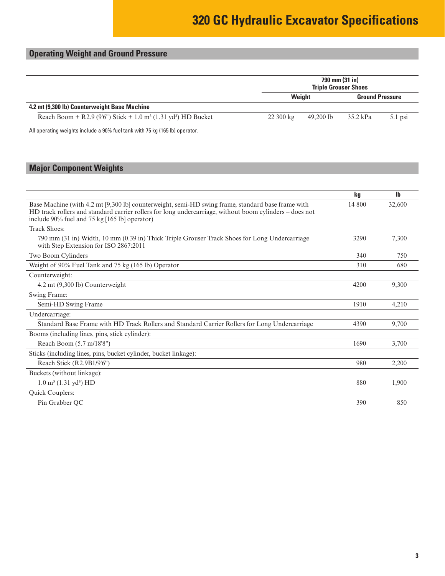# <span id="page-2-0"></span>**Operating Weight and Ground Pressure**

|                                                                                       | 790 mm (31 in)<br><b>Triple Grouser Shoes</b> |           |                        |           |
|---------------------------------------------------------------------------------------|-----------------------------------------------|-----------|------------------------|-----------|
|                                                                                       |                                               | Weight    | <b>Ground Pressure</b> |           |
| 4.2 mt (9,300 lb) Counterweight Base Machine                                          |                                               |           |                        |           |
| Reach Boom + R2.9 (9'6") Stick + 1.0 m <sup>3</sup> (1.31 yd <sup>3</sup> ) HD Bucket | $22300 \text{ kg}$                            | 49.200 lb | 35.2 kPa               | $5.1$ psi |

All operating weights include a 90% fuel tank with 75 kg (165 lb) operator.

# **Major Component Weights**

|                                                                                                                                                                                                                                                               | kg     | <b>Ib</b> |
|---------------------------------------------------------------------------------------------------------------------------------------------------------------------------------------------------------------------------------------------------------------|--------|-----------|
| Base Machine (with 4.2 mt [9,300 lb] counterweight, semi-HD swing frame, standard base frame with<br>HD track rollers and standard carrier rollers for long undercarriage, without boom cylinders – does not<br>include 90% fuel and 75 kg [165 lb] operator) | 14 800 | 32,600    |
| <b>Track Shoes:</b>                                                                                                                                                                                                                                           |        |           |
| 790 mm (31 in) Width, 10 mm (0.39 in) Thick Triple Grouser Track Shoes for Long Undercarriage<br>with Step Extension for ISO 2867:2011                                                                                                                        | 3290   | 7,300     |
| Two Boom Cylinders                                                                                                                                                                                                                                            | 340    | 750       |
| Weight of 90% Fuel Tank and 75 kg (165 lb) Operator                                                                                                                                                                                                           | 310    | 680       |
| Counterweight:                                                                                                                                                                                                                                                |        |           |
| 4.2 mt (9,300 lb) Counterweight                                                                                                                                                                                                                               | 4200   | 9,300     |
| Swing Frame:                                                                                                                                                                                                                                                  |        |           |
| Semi-HD Swing Frame                                                                                                                                                                                                                                           | 1910   | 4,210     |
| Undercarriage:                                                                                                                                                                                                                                                |        |           |
| Standard Base Frame with HD Track Rollers and Standard Carrier Rollers for Long Undercarriage                                                                                                                                                                 | 4390   | 9.700     |
| Booms (including lines, pins, stick cylinder):                                                                                                                                                                                                                |        |           |
| Reach Boom (5.7 m/18'8")                                                                                                                                                                                                                                      | 1690   | 3,700     |
| Sticks (including lines, pins, bucket cylinder, bucket linkage):                                                                                                                                                                                              |        |           |
| Reach Stick (R2.9B1/9'6")                                                                                                                                                                                                                                     | 980    | 2,200     |
| Buckets (without linkage):                                                                                                                                                                                                                                    |        |           |
| $1.0 \text{ m}^3$ (1.31 yd <sup>3</sup> ) HD                                                                                                                                                                                                                  | 880    | 1.900     |
| Quick Couplers:                                                                                                                                                                                                                                               |        |           |
| Pin Grabber QC                                                                                                                                                                                                                                                | 390    | 850       |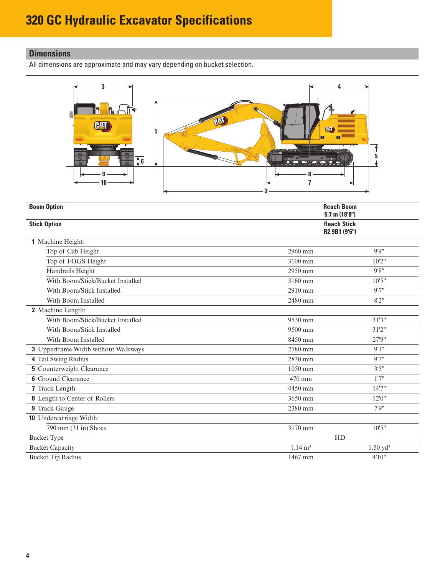# <span id="page-3-0"></span>**Dimensions**

All dimensions are approximate and may vary depending on bucket selection.



| <b>Boom Option</b>                  | <b>Reach Boom</b><br>$5.7$ m (18'8") |                     |  |
|-------------------------------------|--------------------------------------|---------------------|--|
| <b>Stick Option</b>                 | <b>Reach Stick</b><br>R2.9B1 (9'6")  |                     |  |
| 1 Machine Height:                   |                                      |                     |  |
| Top of Cab Height                   | 2960 mm                              | 9'9''               |  |
| Top of FOGS Height                  | 3100 mm                              | 10'2"               |  |
| Handrails Height                    | 2950 mm                              | 9'8''               |  |
| With Boom/Stick/Bucket Installed    | 3160 mm                              | 10'5"               |  |
| With Boom/Stick Installed           | 2910 mm                              | 9'7''               |  |
| With Boom Installed                 | 2480 mm                              | 8'2''               |  |
| 2 Machine Length:                   |                                      |                     |  |
| With Boom/Stick/Bucket Installed    | 9530 mm                              | 31'3''              |  |
| With Boom/Stick Installed           | 9500 mm                              | 31'2''              |  |
| With Boom Installed                 | 8450 mm                              | 27'9"               |  |
| 3 Upperframe Width without Walkways | 2780 mm                              | 9'1''               |  |
| 4 Tail Swing Radius                 | 2830 mm                              | 9'3''               |  |
| <b>5</b> Counterweight Clearance    | 1050 mm                              | 3'5''               |  |
| <b>6</b> Ground Clearance           | 470 mm                               | 1'7''               |  |
| 7 Track Length                      | 4450 mm                              | 14'7''              |  |
| 8 Length to Center of Rollers       | 3650 mm                              | 12'0''              |  |
| 9 Track Gauge                       | 2380 mm                              | 7'9''               |  |
| 10 Undercarriage Width:             |                                      |                     |  |
| $790$ mm $(31$ in) Shoes            | 3170 mm                              | 10'5"               |  |
| <b>Bucket Type</b>                  | HD                                   |                     |  |
| <b>Bucket Capacity</b>              | $1.14 \text{ m}^3$                   | $1.50 \text{ yd}^3$ |  |
| <b>Bucket Tip Radius</b>            | 1467 mm                              | 4'10"               |  |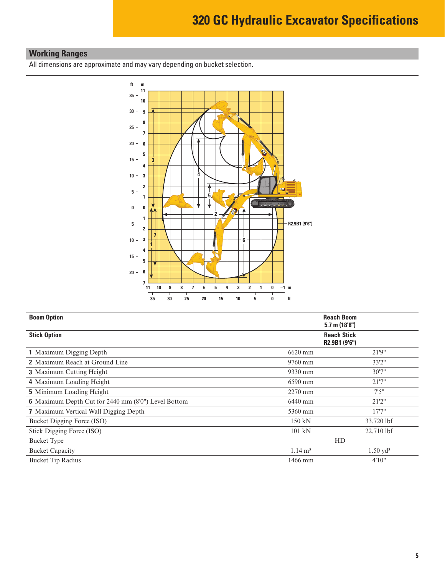# <span id="page-4-0"></span>**Working Ranges**

All dimensions are approximate and may vary depending on bucket selection.



| <b>Boom Option</b>                                  |                    | <b>Reach Boom</b><br>$5.7$ m $(18'8'')$ |
|-----------------------------------------------------|--------------------|-----------------------------------------|
| <b>Stick Option</b>                                 |                    | <b>Reach Stick</b><br>R2.9B1 (9'6")     |
| 1 Maximum Digging Depth                             | 6620 mm            | 21'9"                                   |
| <b>2</b> Maximum Reach at Ground Line               | 9760 mm            | 33'2"                                   |
| <b>3</b> Maximum Cutting Height                     | 9330 mm            | 30'7''                                  |
| 4 Maximum Loading Height                            | 6590 mm            | 21'7''                                  |
| <b>5</b> Minimum Loading Height                     | $2270$ mm          | 7'5''                                   |
| 6 Maximum Depth Cut for 2440 mm (8'0") Level Bottom | 6440 mm            | 21'2''                                  |
| <b>7</b> Maximum Vertical Wall Digging Depth        | 5360 mm            | 17'7''                                  |
| Bucket Digging Force (ISO)                          | $150 \text{ kN}$   | 33,720 lbf                              |
| Stick Digging Force (ISO)                           | 101 kN             | 22,710 lbf                              |
| <b>Bucket Type</b>                                  |                    | HD                                      |
| <b>Bucket Capacity</b>                              | $1.14 \text{ m}^3$ | $1.50 \text{ yd}^3$                     |
| <b>Bucket Tip Radius</b>                            | 1466 mm            | 4'10''                                  |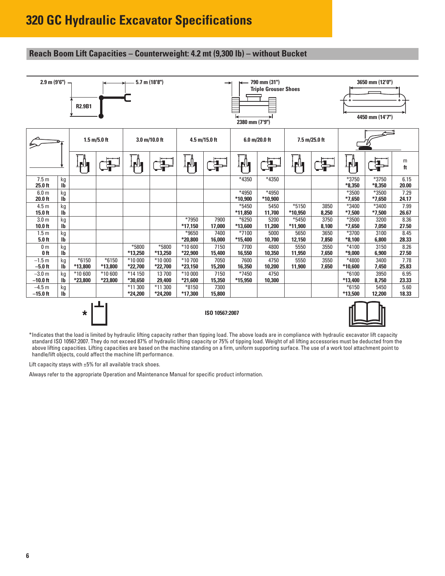## <span id="page-5-0"></span>**Reach Boom Lift Capacities – Counterweight: 4.2 mt (9,300 lb) – without Bucket**

| $2.9$ m $(9'6'') -$<br>$5.7$ m (18'8")<br><b>R2.9B1</b> |                    |                    |                                |                    |                 |                    | →              | 2380 mm (7'9")     | 790 mm (31")<br><b>Triple Grouser Shoes</b> |                  |               |                    | 3650 mm (12'0")<br>4450 mm (14'7") |               |
|---------------------------------------------------------|--------------------|--------------------|--------------------------------|--------------------|-----------------|--------------------|----------------|--------------------|---------------------------------------------|------------------|---------------|--------------------|------------------------------------|---------------|
|                                                         |                    |                    | $1.5 \text{ m}/5.0 \text{ ft}$ |                    | 3.0 m/10.0 ft   |                    | 4.5 m/15.0 ft  |                    | 6.0 m/20.0 ft                               |                  | 7.5 m/25.0 ft |                    |                                    |               |
|                                                         |                    | FU                 | 봒                              | FЧ,                | 봒               | <u>ір І</u> п      | 卓              | <u>rly</u>         | і                                           | ┇┏╟┓             | 与             | ┆┎║╻               |                                    | m<br>ft       |
| 7.5 <sub>m</sub><br>$25.0$ ft                           | kg<br>$\mathbf{I}$ |                    |                                |                    |                 |                    |                | *4350              | *4350                                       |                  |               | *3750<br>$*8.350$  | *3750<br>$*8,350$                  | 6.15<br>20.00 |
| 6.0 <sub>m</sub>                                        | kg                 |                    |                                |                    |                 |                    |                | *4950              | *4950                                       |                  |               | *3500              | *3500                              | 7.29          |
| 20.0 ft                                                 | $\mathbf{I}$       |                    |                                |                    |                 |                    |                | *10,900            | *10,900                                     |                  |               | $*7,650$           | $*7,650$                           | 24.17         |
| 4.5 <sub>m</sub>                                        | kg<br>$\mathbf{I}$ |                    |                                |                    |                 |                    |                | $*5450$            | 5450                                        | $*5150$          | 3850          | *3400              | *3400                              | 7.99          |
| $15.0$ ft<br>3.0 <sub>m</sub>                           | kg                 |                    |                                |                    |                 | *7950              | 7900           | *11,850<br>$*6250$ | 11,700<br>5200                              | *10,950<br>*5450 | 8,250<br>3750 | $*7,500$<br>*3500  | $*7,500$<br>3200                   | 26.67<br>8.36 |
| $10.0$ ft                                               | $\mathbf{I}$       |                    |                                |                    |                 | *17,150            | 17,000         | *13,600            | 11,200                                      | *11,900          | 8,100         | $*7,650$           | 7,050                              | 27.50         |
| 1.5 <sub>m</sub>                                        | kg                 |                    |                                |                    |                 | *9650              | 7400           | $*7100$            | 5000                                        | 5650             | 3650          | *3700              | 3100                               | 8.45          |
| $5.0$ ft                                                | $\mathbf{I}$       |                    |                                |                    |                 | *20,800            | 16,000         | *15,400            | 10,700                                      | 12,150           | 7,850         | $*8,100$           | 6,800                              | 28.33         |
| 0 <sub>m</sub>                                          | kg                 |                    |                                | *5800              | $*5800$         | $*10600$           | 7150           | 7700               | 4800                                        | 5550             | 3550          | $*4100$            | 3150                               | 8.26          |
| $0$ ft                                                  | $\mathbf{I}$       |                    |                                | *13,250            | *13,250         | *22,900            | 15,400         | 16,550             | 10,350                                      | 11,950           | 7,650         | $*9,000$           | 6,900                              | 27.50         |
| $-1.5 m$                                                | kg                 | $*6150$            | $*6150$                        | *10 000            | $*10000$        | *10700             | 7050           | 7600               | 4750                                        | 5550             | 3550          | *4800              | 3400                               | 7.78          |
| $-5.0$ ft                                               | <b>Ib</b>          | *13,800            | *13,800                        | *22,700            | *22,700         | *23,150            | 15,200         | 16,350             | 10,200                                      | 11,900           | 7,650         | *10,600            | 7,450                              | 25.83         |
| $-3.0 m$<br>$-10.0$ ft                                  | kg<br><b>Ib</b>    | *10 600<br>*23,800 | $*10600$<br>*23,800            | *14 150<br>*30,650 | 13700<br>29,400 | *10 000<br>*21,600 | 7150<br>15,350 | *7450<br>*15,950   | 4750<br>10,300                              |                  |               | $*6100$<br>*13,400 | 3950<br>8,750                      | 6.95<br>23.33 |
| $-4.5 m$                                                | kg                 |                    |                                | *11 300            | *11 300         | *8150              | 7300           |                    |                                             |                  |               | $*6150$            | 5450                               | 5.60          |
| $-15.0$ ft                                              | Ib                 |                    |                                | *24.200            | *24,200         | *17.300            | 15,800         |                    |                                             |                  |               | *13,500            | 12,200                             | 18.33         |
|                                                         |                    | $\star$            |                                |                    |                 |                    | ISO 10567:2007 |                    |                                             |                  |               |                    |                                    |               |



\*Indicates that the load is limited by hydraulic lifting capacity rather than tipping load. The above loads are in compliance with hydraulic excavator lift capacity standard ISO 10567:2007. They do not exceed 87% of hydraulic lifting capacity or 75% of tipping load. Weight of all lifting accessories must be deducted from the above lifting capacities. Lifting capacities are based on the machine standing on a firm, uniform supporting surface. The use of a work tool attachment point to handle/lift objects, could affect the machine lift performance.

Lift capacity stays with  $\pm 5\%$  for all available track shoes.

Always refer to the appropriate Operation and Maintenance Manual for specific product information.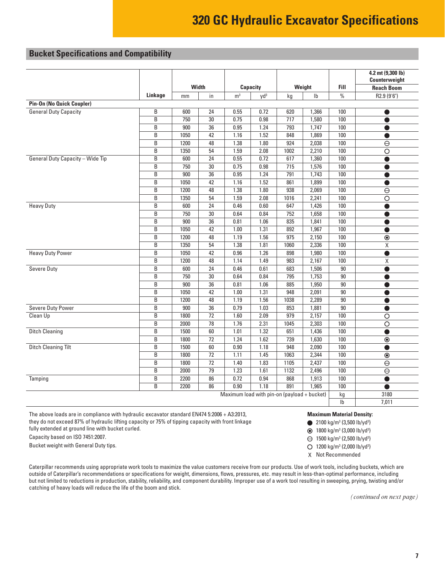## <span id="page-6-0"></span>**Bucket Specifications and Compatibility**

|                                         |                |      |                 |                                                                                                                                                                                                                                                                                                                                                                                                                                                                                                                                                                                                                                                                                                                                                                                                                                                                                                                                                                                                                                                                                                                                                                                                                                                                                                                                                                                                                                                                                        |                 |      |                |             | 4.2 mt (9,300 lb)<br>Counterweight |
|-----------------------------------------|----------------|------|-----------------|----------------------------------------------------------------------------------------------------------------------------------------------------------------------------------------------------------------------------------------------------------------------------------------------------------------------------------------------------------------------------------------------------------------------------------------------------------------------------------------------------------------------------------------------------------------------------------------------------------------------------------------------------------------------------------------------------------------------------------------------------------------------------------------------------------------------------------------------------------------------------------------------------------------------------------------------------------------------------------------------------------------------------------------------------------------------------------------------------------------------------------------------------------------------------------------------------------------------------------------------------------------------------------------------------------------------------------------------------------------------------------------------------------------------------------------------------------------------------------------|-----------------|------|----------------|-------------|------------------------------------|
|                                         |                |      | <b>Width</b>    |                                                                                                                                                                                                                                                                                                                                                                                                                                                                                                                                                                                                                                                                                                                                                                                                                                                                                                                                                                                                                                                                                                                                                                                                                                                                                                                                                                                                                                                                                        |                 |      |                | <b>Fill</b> | <b>Reach Boom</b>                  |
|                                         | Linkage        | mm   | in              | m <sup>3</sup>                                                                                                                                                                                                                                                                                                                                                                                                                                                                                                                                                                                                                                                                                                                                                                                                                                                                                                                                                                                                                                                                                                                                                                                                                                                                                                                                                                                                                                                                         | yd <sup>3</sup> | kg   | I <sub>b</sub> | $\%$        | R2.9 (9'6")                        |
| <b>Pin-On (No Quick Coupler)</b>        |                |      |                 |                                                                                                                                                                                                                                                                                                                                                                                                                                                                                                                                                                                                                                                                                                                                                                                                                                                                                                                                                                                                                                                                                                                                                                                                                                                                                                                                                                                                                                                                                        |                 |      |                |             |                                    |
| <b>General Duty Capacity</b>            | B              | 600  | 24              | 0.55                                                                                                                                                                                                                                                                                                                                                                                                                                                                                                                                                                                                                                                                                                                                                                                                                                                                                                                                                                                                                                                                                                                                                                                                                                                                                                                                                                                                                                                                                   | 0.72            | 620  | 1,366          | 100         |                                    |
|                                         | B              | 750  | 30              | 0.75                                                                                                                                                                                                                                                                                                                                                                                                                                                                                                                                                                                                                                                                                                                                                                                                                                                                                                                                                                                                                                                                                                                                                                                                                                                                                                                                                                                                                                                                                   | 0.98            | 717  | 1,580          | 100         | ●                                  |
|                                         | B              | 900  | 36              | 0.95                                                                                                                                                                                                                                                                                                                                                                                                                                                                                                                                                                                                                                                                                                                                                                                                                                                                                                                                                                                                                                                                                                                                                                                                                                                                                                                                                                                                                                                                                   | 1.24            | 793  | 1,747          | 100         |                                    |
|                                         | B              | 1050 | 42              | 1.16                                                                                                                                                                                                                                                                                                                                                                                                                                                                                                                                                                                                                                                                                                                                                                                                                                                                                                                                                                                                                                                                                                                                                                                                                                                                                                                                                                                                                                                                                   | 1.52            | 848  | 1,869          | 100         |                                    |
|                                         | B              | 1200 | 48              | 1.38                                                                                                                                                                                                                                                                                                                                                                                                                                                                                                                                                                                                                                                                                                                                                                                                                                                                                                                                                                                                                                                                                                                                                                                                                                                                                                                                                                                                                                                                                   | 1.80            | 924  | 2,038          | 100         | $\Theta$                           |
|                                         | B              | 1350 | 54              | 1.59                                                                                                                                                                                                                                                                                                                                                                                                                                                                                                                                                                                                                                                                                                                                                                                                                                                                                                                                                                                                                                                                                                                                                                                                                                                                                                                                                                                                                                                                                   | 2.08            | 1002 | 2,210          | 100         | $\circ$                            |
| <b>General Duty Capacity - Wide Tip</b> | B              | 600  | 24              | 0.55                                                                                                                                                                                                                                                                                                                                                                                                                                                                                                                                                                                                                                                                                                                                                                                                                                                                                                                                                                                                                                                                                                                                                                                                                                                                                                                                                                                                                                                                                   |                 |      | 1,360          |             |                                    |
|                                         | B              | 750  | 30              | 0.75                                                                                                                                                                                                                                                                                                                                                                                                                                                                                                                                                                                                                                                                                                                                                                                                                                                                                                                                                                                                                                                                                                                                                                                                                                                                                                                                                                                                                                                                                   | 0.98            | 715  | 1,576          | 100         |                                    |
|                                         | $\overline{B}$ | 900  | $\overline{36}$ |                                                                                                                                                                                                                                                                                                                                                                                                                                                                                                                                                                                                                                                                                                                                                                                                                                                                                                                                                                                                                                                                                                                                                                                                                                                                                                                                                                                                                                                                                        |                 |      |                |             | 0                                  |
|                                         | B              | 1050 | 42              | 1.16                                                                                                                                                                                                                                                                                                                                                                                                                                                                                                                                                                                                                                                                                                                                                                                                                                                                                                                                                                                                                                                                                                                                                                                                                                                                                                                                                                                                                                                                                   | 1.52            | 861  | 1,899          | 100         | O                                  |
|                                         | B              | 1200 | 48              |                                                                                                                                                                                                                                                                                                                                                                                                                                                                                                                                                                                                                                                                                                                                                                                                                                                                                                                                                                                                                                                                                                                                                                                                                                                                                                                                                                                                                                                                                        |                 |      |                |             | $\Theta$                           |
|                                         | B              | 1350 | $\overline{54}$ | <b>Capacity</b><br>Weight<br>0.72<br>617<br>100<br>0.95<br>1.24<br>791<br>1,743<br>100<br>1.38<br>1.80<br>938<br>2,069<br>100<br>2.08<br>1.59<br>1016<br>2,241<br>100<br>$\overline{\circ}$<br>647<br>100<br>0.46<br>0.60<br>1,426<br>$\bullet$<br>752<br>100<br>0.64<br>0.84<br>1,658<br>835<br>0.81<br>1.06<br>1,841<br>100<br>1.00<br>1.31<br>892<br>1,967<br>100<br>1.19<br>1.56<br>975<br>2,150<br>100<br>$\overline{\bullet}$<br>1.38<br>1.81<br>1060<br>2,336<br>100<br>X<br>1.26<br>0.96<br>898<br>1,980<br>100<br>1.14<br>1.49<br>983<br>2,167<br>100<br>X<br>0.46<br>0.61<br>683<br>1,506<br>90<br>$\bullet$<br>0.64<br>0.84<br>795<br>1,753<br>90<br>$\overline{90}$<br>0.81<br>1.06<br>885<br>1,950<br>1.31<br>948<br>2,091<br>90<br>1.00<br>1.19<br>1.56<br>1038<br>2,289<br>90<br>●<br>0.79<br>1.03<br>853<br>1,881<br>90<br>1.60<br>2.09<br>979<br>2,157<br>100<br>$\overline{O}$<br>1.76<br>2.31<br>2,303<br>100<br>$\overline{\circ}$<br>1045<br>1.01<br>1.32<br>651<br>100<br>1,436<br>$\bullet$<br>1.24<br>1.62<br>739<br>1,630<br>100<br>$\circledcirc$<br>0.90<br>1.18<br>948<br>2,090<br>100<br>100<br>1.11<br>1.45<br>1063<br>2,344<br>$\overline{\odot}$<br>1.83<br>1105<br>2,437<br>100<br>1.40<br>$\ominus$<br>1.61<br>1.23<br>1132<br>2,496<br>100<br>$\overline{\Theta}$<br>0.72<br>0.94<br>868<br>1,913<br>100<br>0.90<br>1.18<br>891<br>1.965<br>100<br>$\bullet$<br>Maximum load with pin-on (payload + bucket)<br>3180<br>kg<br>$\mathsf{lb}$<br>7,011 |                 |      |                |             |                                    |
| <b>Heavy Duty</b>                       | B              | 600  | 24              |                                                                                                                                                                                                                                                                                                                                                                                                                                                                                                                                                                                                                                                                                                                                                                                                                                                                                                                                                                                                                                                                                                                                                                                                                                                                                                                                                                                                                                                                                        |                 |      |                |             |                                    |
|                                         | B              | 750  | 30              |                                                                                                                                                                                                                                                                                                                                                                                                                                                                                                                                                                                                                                                                                                                                                                                                                                                                                                                                                                                                                                                                                                                                                                                                                                                                                                                                                                                                                                                                                        |                 |      |                |             |                                    |
|                                         | B              | 900  | 36              |                                                                                                                                                                                                                                                                                                                                                                                                                                                                                                                                                                                                                                                                                                                                                                                                                                                                                                                                                                                                                                                                                                                                                                                                                                                                                                                                                                                                                                                                                        |                 |      |                |             |                                    |
|                                         | B              | 1050 | 42              |                                                                                                                                                                                                                                                                                                                                                                                                                                                                                                                                                                                                                                                                                                                                                                                                                                                                                                                                                                                                                                                                                                                                                                                                                                                                                                                                                                                                                                                                                        |                 |      |                |             |                                    |
|                                         | B              | 1200 | 48              |                                                                                                                                                                                                                                                                                                                                                                                                                                                                                                                                                                                                                                                                                                                                                                                                                                                                                                                                                                                                                                                                                                                                                                                                                                                                                                                                                                                                                                                                                        |                 |      |                |             |                                    |
|                                         | B              | 1350 | 54              |                                                                                                                                                                                                                                                                                                                                                                                                                                                                                                                                                                                                                                                                                                                                                                                                                                                                                                                                                                                                                                                                                                                                                                                                                                                                                                                                                                                                                                                                                        |                 |      |                |             |                                    |
| <b>Heavy Duty Power</b>                 | B              | 1050 | 42              |                                                                                                                                                                                                                                                                                                                                                                                                                                                                                                                                                                                                                                                                                                                                                                                                                                                                                                                                                                                                                                                                                                                                                                                                                                                                                                                                                                                                                                                                                        |                 |      |                |             |                                    |
|                                         | B              | 1200 | 48              |                                                                                                                                                                                                                                                                                                                                                                                                                                                                                                                                                                                                                                                                                                                                                                                                                                                                                                                                                                                                                                                                                                                                                                                                                                                                                                                                                                                                                                                                                        |                 |      |                |             |                                    |
| <b>Severe Duty</b>                      | B              | 600  | 24              |                                                                                                                                                                                                                                                                                                                                                                                                                                                                                                                                                                                                                                                                                                                                                                                                                                                                                                                                                                                                                                                                                                                                                                                                                                                                                                                                                                                                                                                                                        |                 |      |                |             |                                    |
|                                         | B              | 750  | $30\,$          |                                                                                                                                                                                                                                                                                                                                                                                                                                                                                                                                                                                                                                                                                                                                                                                                                                                                                                                                                                                                                                                                                                                                                                                                                                                                                                                                                                                                                                                                                        |                 |      |                |             |                                    |
|                                         | B              | 900  | $\overline{36}$ |                                                                                                                                                                                                                                                                                                                                                                                                                                                                                                                                                                                                                                                                                                                                                                                                                                                                                                                                                                                                                                                                                                                                                                                                                                                                                                                                                                                                                                                                                        |                 |      |                |             |                                    |
|                                         | B              | 1050 | 42              |                                                                                                                                                                                                                                                                                                                                                                                                                                                                                                                                                                                                                                                                                                                                                                                                                                                                                                                                                                                                                                                                                                                                                                                                                                                                                                                                                                                                                                                                                        |                 |      |                |             |                                    |
|                                         | B              | 1200 | 48              |                                                                                                                                                                                                                                                                                                                                                                                                                                                                                                                                                                                                                                                                                                                                                                                                                                                                                                                                                                                                                                                                                                                                                                                                                                                                                                                                                                                                                                                                                        |                 |      |                |             |                                    |
| <b>Severe Duty Power</b>                | B              | 900  | 36              |                                                                                                                                                                                                                                                                                                                                                                                                                                                                                                                                                                                                                                                                                                                                                                                                                                                                                                                                                                                                                                                                                                                                                                                                                                                                                                                                                                                                                                                                                        |                 |      |                |             |                                    |
| Clean Up                                | B              | 1800 | $\overline{72}$ |                                                                                                                                                                                                                                                                                                                                                                                                                                                                                                                                                                                                                                                                                                                                                                                                                                                                                                                                                                                                                                                                                                                                                                                                                                                                                                                                                                                                                                                                                        |                 |      |                |             |                                    |
|                                         | B              | 2000 | 78              |                                                                                                                                                                                                                                                                                                                                                                                                                                                                                                                                                                                                                                                                                                                                                                                                                                                                                                                                                                                                                                                                                                                                                                                                                                                                                                                                                                                                                                                                                        |                 |      |                |             |                                    |
| <b>Ditch Cleaning</b>                   | B              | 1500 | 60              |                                                                                                                                                                                                                                                                                                                                                                                                                                                                                                                                                                                                                                                                                                                                                                                                                                                                                                                                                                                                                                                                                                                                                                                                                                                                                                                                                                                                                                                                                        |                 |      |                |             |                                    |
|                                         | B              | 1800 | 72              |                                                                                                                                                                                                                                                                                                                                                                                                                                                                                                                                                                                                                                                                                                                                                                                                                                                                                                                                                                                                                                                                                                                                                                                                                                                                                                                                                                                                                                                                                        |                 |      |                |             |                                    |
| <b>Ditch Cleaning Tilt</b>              | B              | 1500 | 60              |                                                                                                                                                                                                                                                                                                                                                                                                                                                                                                                                                                                                                                                                                                                                                                                                                                                                                                                                                                                                                                                                                                                                                                                                                                                                                                                                                                                                                                                                                        |                 |      |                |             |                                    |
|                                         | B              | 1800 | $\overline{72}$ |                                                                                                                                                                                                                                                                                                                                                                                                                                                                                                                                                                                                                                                                                                                                                                                                                                                                                                                                                                                                                                                                                                                                                                                                                                                                                                                                                                                                                                                                                        |                 |      |                |             |                                    |
|                                         | B              | 1800 | 72              |                                                                                                                                                                                                                                                                                                                                                                                                                                                                                                                                                                                                                                                                                                                                                                                                                                                                                                                                                                                                                                                                                                                                                                                                                                                                                                                                                                                                                                                                                        |                 |      |                |             |                                    |
|                                         | B              | 2000 | $\overline{79}$ |                                                                                                                                                                                                                                                                                                                                                                                                                                                                                                                                                                                                                                                                                                                                                                                                                                                                                                                                                                                                                                                                                                                                                                                                                                                                                                                                                                                                                                                                                        |                 |      |                |             |                                    |
| Tamping                                 | B              | 2200 | 86              |                                                                                                                                                                                                                                                                                                                                                                                                                                                                                                                                                                                                                                                                                                                                                                                                                                                                                                                                                                                                                                                                                                                                                                                                                                                                                                                                                                                                                                                                                        |                 |      |                |             |                                    |
|                                         | B              | 2200 | 86              |                                                                                                                                                                                                                                                                                                                                                                                                                                                                                                                                                                                                                                                                                                                                                                                                                                                                                                                                                                                                                                                                                                                                                                                                                                                                                                                                                                                                                                                                                        |                 |      |                |             |                                    |
|                                         |                |      |                 |                                                                                                                                                                                                                                                                                                                                                                                                                                                                                                                                                                                                                                                                                                                                                                                                                                                                                                                                                                                                                                                                                                                                                                                                                                                                                                                                                                                                                                                                                        |                 |      |                |             |                                    |
|                                         |                |      |                 |                                                                                                                                                                                                                                                                                                                                                                                                                                                                                                                                                                                                                                                                                                                                                                                                                                                                                                                                                                                                                                                                                                                                                                                                                                                                                                                                                                                                                                                                                        |                 |      |                |             |                                    |

The above loads are in compliance with hydraulic excavator standard EN474 5:2006 + A3:2013, they do not exceed 87% of hydraulic lifting capacity or 75% of tipping capacity with front linkage fully extended at ground line with bucket curled.

Capacity based on ISO 7451:2007.

Bucket weight with General Duty tips.

Caterpillar recommends using appropriate work tools to maximize the value customers receive from our products. Use of work tools, including buckets, which are outside of Caterpillar's recommendations or specifications for weight, dimensions, flows, pressures, etc. may result in less-than-optimal performance, including but not limited to reductions in production, stability, reliability, and component durability. Improper use of a work tool resulting in sweeping, prying, twisting and/or catching of heavy loads will reduce the life of the boom and stick.

*(continued on next page)*

**Maximum Material Density:** 2100 kg/m<sup>3</sup> (3,500 lb/yd<sup>3</sup>) 1800 kg/m3 (3,000 lb/yd3 ) 1500 kg/m<sup>3</sup> (2,500 lb/yd<sup>3</sup>) 1200 kg/m3 (2,000 lb/yd3 ) X Not Recommended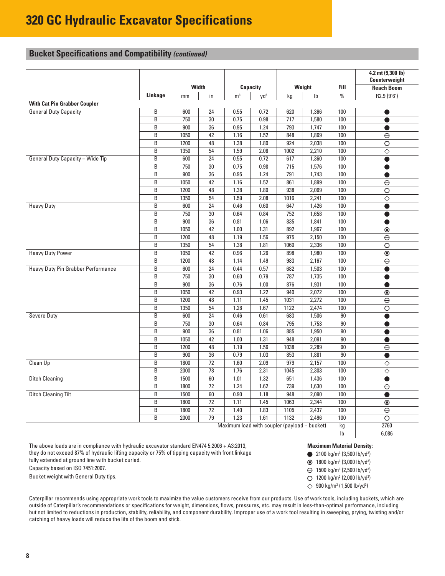## **Bucket Specifications and Compatibility** *(continued)*

|                                                                                                                                                                                                                 |                             |      |                 |                                              |                 |                  |                |                     | 4.2 mt (9,300 lb)<br>Counterweight |  |
|-----------------------------------------------------------------------------------------------------------------------------------------------------------------------------------------------------------------|-----------------------------|------|-----------------|----------------------------------------------|-----------------|------------------|----------------|---------------------|------------------------------------|--|
|                                                                                                                                                                                                                 |                             |      | Width           |                                              | <b>Capacity</b> |                  | Weight         | <b>Fill</b>         | <b>Reach Boom</b>                  |  |
|                                                                                                                                                                                                                 | Linkage                     | mm   | in              | m <sup>3</sup>                               | $yd^3$          | kg               | I <sub>b</sub> | $\%$                | R2.9 (9'6")                        |  |
| <b>With Cat Pin Grabber Coupler</b>                                                                                                                                                                             |                             |      |                 |                                              |                 |                  |                |                     |                                    |  |
| <b>General Duty Capacity</b>                                                                                                                                                                                    | B                           | 600  | 24              | 0.55                                         | 0.72            | 620              | 1,366          | 100                 | 0                                  |  |
|                                                                                                                                                                                                                 | B                           | 750  | 30              | 0.75                                         | 0.98            | $\overline{717}$ | 1,580          | 100                 | $\bullet$                          |  |
|                                                                                                                                                                                                                 | B                           | 900  | 36              | 0.95                                         | 1.24            | 793              | 1,747          | 100                 | ●                                  |  |
|                                                                                                                                                                                                                 | B                           | 1050 | 42              | 1.16                                         | 1.52            | 848              | 1,869          | 100                 | $\overline{\Theta}$                |  |
|                                                                                                                                                                                                                 | B                           | 1200 | 48              | 1.38                                         | 1.80            | 924              | 2,038          | 100                 | $\overline{\circ}$                 |  |
|                                                                                                                                                                                                                 | B                           | 1350 | 54              | 1.59                                         | 2.08            | 1002             | 2,210          | 100                 | $\overline\diamond$                |  |
|                                                                                                                                                                                                                 | B                           | 600  | 24              | 0.55                                         | 0.72            | 617              | 1,360          | 100                 | $\bullet$                          |  |
| <b>General Duty Capacity - Wide Tip</b><br><b>Heavy Duty</b><br><b>Heavy Duty Power</b><br>Heavy Duty Pin Grabber Performance<br><b>Severe Duty</b><br>Clean Up<br><b>Ditch Cleaning</b><br>Ditch Cleaning Tilt | B                           | 750  | 30              | 0.75                                         | 0.98            | 715              | 1,576          | 100                 | $\bullet$                          |  |
|                                                                                                                                                                                                                 | $\overline{B}$              | 900  | 36              | 0.95                                         | 1.24            | 791              | 1,743          | 100                 |                                    |  |
|                                                                                                                                                                                                                 | B                           | 1050 | 42              | 1.16                                         | 1.52            | 861              | 1,899          | 100                 | $\ominus$                          |  |
|                                                                                                                                                                                                                 | B                           | 1200 | 48              | 1.38                                         | 1.80            | 938              | 2,069          | 100                 | $\overline{\circ}$                 |  |
|                                                                                                                                                                                                                 | B                           | 1350 | 54              | 1.59                                         | 2.08            | 1016             | 2,241          | 100                 | $\overline\diamond$                |  |
|                                                                                                                                                                                                                 | B                           | 600  | 24              | 0.46                                         | 0.60            | 647              | 1,426          | 100                 |                                    |  |
|                                                                                                                                                                                                                 | B                           | 750  | 30              | 0.64                                         | 0.84            | 752              | 1,658          | 100                 | ●                                  |  |
|                                                                                                                                                                                                                 | B                           | 900  | 36              | 0.81                                         | 1.06            | 835              | 1,841          | 100                 | O                                  |  |
|                                                                                                                                                                                                                 | B                           | 1050 | $\overline{42}$ | 1.00                                         | 1.31            | 892              | 1,967          | 100                 | $\overline{\circ}$                 |  |
|                                                                                                                                                                                                                 | B                           | 1200 | 48              | 1.19                                         | 1.56            | 975              | 2,150          | 100                 | $\overline{\Theta}$                |  |
|                                                                                                                                                                                                                 | B                           | 1350 | 54              | 1.38                                         | 1.81            | 1060             | 2,336          | 100                 | $\overline{\circ}$                 |  |
|                                                                                                                                                                                                                 | B                           | 1050 | 42              | 0.96                                         | 1.26            | 898              | 1,980          | 100                 | $\overline{\circ}$                 |  |
|                                                                                                                                                                                                                 | B<br>1200<br>48<br>B<br>600 |      | 1.14            | 1.49                                         | 983             | 2,167            | 100            | $\overline{\Theta}$ |                                    |  |
|                                                                                                                                                                                                                 |                             |      | 24              | 0.44                                         | 0.57            | 682              | 1,503          | 100                 |                                    |  |
|                                                                                                                                                                                                                 | B                           | 750  | 30              | 0.60                                         | 0.79            | 787              | 1,735          | 100                 | $\bullet$                          |  |
|                                                                                                                                                                                                                 | B                           | 900  | 36              | 0.76                                         | 1.00            | 876              | 1,931          | $\overline{100}$    | Δ                                  |  |
|                                                                                                                                                                                                                 | B                           | 1050 | 42              | 0.93                                         | 1.22            | 940              | 2,072          | 100                 | $\odot$                            |  |
|                                                                                                                                                                                                                 | B                           | 1200 | 48              | 1.11                                         | 1.45            | 1031             | 2,272          | 100                 | $\overline{\Theta}$                |  |
|                                                                                                                                                                                                                 | B                           | 1350 | 54              | 1.28                                         | 1.67            | 1122             | 2,474          | 100                 | $\overline{\circ}$                 |  |
|                                                                                                                                                                                                                 | B                           | 600  | 24              | 0.46                                         | 0.61            | 683              | 1,506          | $\overline{90}$     |                                    |  |
|                                                                                                                                                                                                                 | B                           | 750  | 30              | 0.64                                         | 0.84            | 795              | 1,753          | 90                  | O                                  |  |
|                                                                                                                                                                                                                 | B                           | 900  | 36              | 0.81                                         | 1.06            | 885              | 1,950          | $90\,$              | $\bullet$                          |  |
|                                                                                                                                                                                                                 | B                           | 1050 | 42              | 1.00                                         | 1.31            | 948              | 2,091          | 90                  |                                    |  |
|                                                                                                                                                                                                                 | B                           | 1200 | 48              | 1.19                                         | 1.56            | 1038             | 2,289          | 90                  | $\overline{\Theta}$                |  |
|                                                                                                                                                                                                                 | B                           | 900  | 36              | 0.79                                         | 1.03            | 853              | 1,881          | 90                  |                                    |  |
|                                                                                                                                                                                                                 | B                           | 1800 | 72              | 1.60                                         | 2.09            | 979              | 2,157          | 100                 | ♦                                  |  |
|                                                                                                                                                                                                                 | B                           | 2000 | 78              | 1.76                                         | 2.31            | 1045             | 2,303          | 100                 | $\overline\diamond$                |  |
|                                                                                                                                                                                                                 | B                           | 1500 | 60              | 1.01                                         | 1.32            | 651              | 1,436          | 100                 |                                    |  |
|                                                                                                                                                                                                                 | B                           | 1800 | $\overline{72}$ | 1.24                                         | 1.62            | 739              | 1,630          | 100                 | $\overline{\Theta}$                |  |
|                                                                                                                                                                                                                 | B                           | 1500 | 60              | 0.90                                         | 1.18            | 948              | 2,090          | 100                 | $\bullet$                          |  |
|                                                                                                                                                                                                                 | $\overline{B}$              | 1800 | 72              | 1.11                                         | 1.45            | 1063             | 2,344          | 100                 | $\circledcirc$                     |  |
|                                                                                                                                                                                                                 | B                           | 1800 | $\overline{72}$ | 1.40                                         | 1.83            | 1105             | 2,437          | 100                 | $\overline{\Theta}$                |  |
|                                                                                                                                                                                                                 | B                           | 2000 | 79              | 1.23                                         | 1.61            | 1132             | 2,496          | 100                 | $\overline{\circ}$                 |  |
|                                                                                                                                                                                                                 |                             |      |                 | Maximum load with coupler (payload + bucket) |                 |                  |                | kg                  | 2760                               |  |
|                                                                                                                                                                                                                 |                             |      |                 |                                              |                 |                  |                | $\mathsf{lb}$       | 6,086                              |  |

The above loads are in compliance with hydraulic excavator standard EN474 5:2006 + A3:2013, they do not exceed 87% of hydraulic lifting capacity or 75% of tipping capacity with front linkage

fully extended at ground line with bucket curled.

Capacity based on ISO 7451:2007.

Bucket weight with General Duty tips.

**Maximum Material Density:**

2100 kg/m<sup>3</sup> (3,500 lb/yd<sup>3</sup>)

1800 kg/m3 (3,000 lb/yd3 )

- 1500 kg/m3 (2,500 lb/yd3 )
- 1200 kg/m3 (2,000 lb/yd3 )
- 900 kg/m3 (1,500 lb/yd3 )

Caterpillar recommends using appropriate work tools to maximize the value customers receive from our products. Use of work tools, including buckets, which are outside of Caterpillar's recommendations or specifications for weight, dimensions, flows, pressures, etc. may result in less-than-optimal performance, including but not limited to reductions in production, stability, reliability, and component durability. Improper use of a work tool resulting in sweeping, prying, twisting and/or catching of heavy loads will reduce the life of the boom and stick.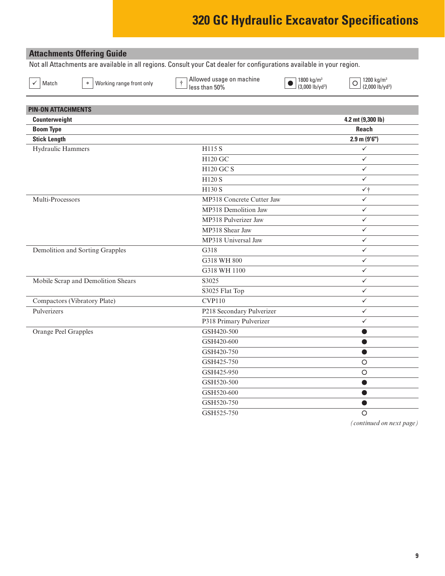## <span id="page-8-0"></span>**Attachments Offering Guide**

Not all Attachments are available in all regions. Consult your Cat dealer for configurations available in your region.

 $\overline{\checkmark}$  Match  $\overline{\checkmark}$  Working range front only  $\overline{\checkmark}$  Allowed usage on machine  $\perp$  less than 50%  $\leq$  Match  $\geq$  Working range front only  $\downarrow$  Hess than 50%  $\geq$  (3,000 lb/yd<sup>3</sup>)  $\geq$  (3,000 lb/yd<sup>3</sup>)  $\geq$  (2,000 lb/yd<sup>3</sup>) (2,000 lb/yd<sup>3</sup>)

1800 kg/m3

1200  $kg/m<sup>3</sup>$ (2,000 lb/yd3

| <b>PIN-ON ATTACHMENTS</b>          |                           |                   |
|------------------------------------|---------------------------|-------------------|
| Counterweight                      |                           | 4.2 mt (9,300 lb) |
| <b>Boom Type</b>                   |                           | <b>Reach</b>      |
| <b>Stick Length</b>                |                           | $2.9$ m $(9'6'')$ |
| Hydraulic Hammers                  | H115 S                    | $\checkmark$      |
|                                    | H120 GC                   | $\checkmark$      |
|                                    | <b>H120 GC S</b>          | $\checkmark$      |
|                                    | H120 S                    | $\checkmark$      |
|                                    | H130 S                    | $\checkmark$      |
| Multi-Processors                   | MP318 Concrete Cutter Jaw | $\checkmark$      |
|                                    | MP318 Demolition Jaw      | $\checkmark$      |
|                                    | MP318 Pulverizer Jaw      | $\checkmark$      |
|                                    | MP318 Shear Jaw           | $\checkmark$      |
|                                    | MP318 Universal Jaw       | $\checkmark$      |
| Demolition and Sorting Grapples    | G318                      | $\checkmark$      |
|                                    | G318 WH 800               | $\checkmark$      |
|                                    | G318 WH 1100              | $\checkmark$      |
| Mobile Scrap and Demolition Shears | S3025                     | $\checkmark$      |
|                                    | S3025 Flat Top            | $\checkmark$      |
| Compactors (Vibratory Plate)       | <b>CVP110</b>             | $\checkmark$      |
| Pulverizers                        | P218 Secondary Pulverizer | $\checkmark$      |
|                                    | P318 Primary Pulverizer   | $\checkmark$      |
| Orange Peel Grapples               | GSH420-500                | $\bullet$         |
|                                    | GSH420-600                | $\bullet$         |
|                                    | GSH420-750                | $\bullet$         |
|                                    | GSH425-750                | $\circ$           |
|                                    | GSH425-950                | $\circ$           |
|                                    | GSH520-500                | $\bullet$         |
|                                    | GSH520-600                | $\bullet$         |
|                                    | GSH520-750                |                   |
|                                    | GSH525-750                | $\circ$           |
|                                    |                           |                   |

*(continued on next page)*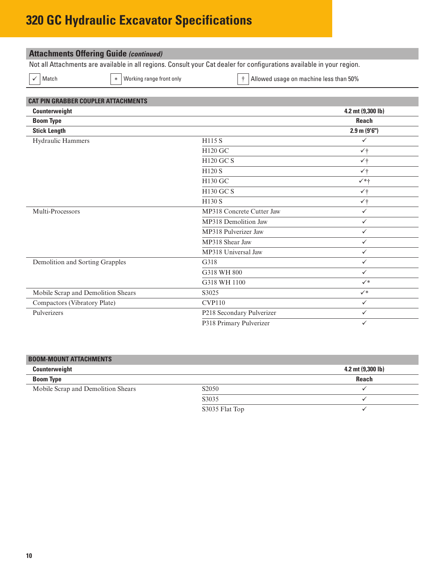| Match                                      | Working range front only<br>$\ast$                                                                                                                                                                                                       |                                  |                   |
|--------------------------------------------|------------------------------------------------------------------------------------------------------------------------------------------------------------------------------------------------------------------------------------------|----------------------------------|-------------------|
| <b>CAT PIN GRABBER COUPLER ATTACHMENTS</b> |                                                                                                                                                                                                                                          |                                  |                   |
| Counterweight                              |                                                                                                                                                                                                                                          |                                  | 4.2 mt (9,300 lb) |
| <b>Boom Type</b>                           |                                                                                                                                                                                                                                          |                                  | <b>Reach</b>      |
| <b>Stick Length</b>                        |                                                                                                                                                                                                                                          |                                  | $2.9$ m $(9'6'')$ |
| <b>Hydraulic Hammers</b>                   |                                                                                                                                                                                                                                          | H115 S                           | $\checkmark$      |
|                                            |                                                                                                                                                                                                                                          | <b>H120 GC</b>                   | $\checkmark$      |
|                                            |                                                                                                                                                                                                                                          | <b>H120 GC S</b>                 | $\checkmark$      |
|                                            |                                                                                                                                                                                                                                          | H120 S                           | $\checkmark$      |
|                                            |                                                                                                                                                                                                                                          | H130 GC                          | $\checkmark$ *+   |
|                                            |                                                                                                                                                                                                                                          | <b>H130 GC S</b>                 | $\checkmark$      |
|                                            |                                                                                                                                                                                                                                          | H130 S                           | $\checkmark$      |
| Multi-Processors                           |                                                                                                                                                                                                                                          | <b>MP318 Concrete Cutter Jaw</b> | $\checkmark$      |
|                                            |                                                                                                                                                                                                                                          | MP318 Demolition Jaw             | $\checkmark$      |
|                                            |                                                                                                                                                                                                                                          | MP318 Pulverizer Jaw             | $\checkmark$      |
|                                            |                                                                                                                                                                                                                                          | MP318 Shear Jaw                  | $\checkmark$      |
|                                            |                                                                                                                                                                                                                                          | MP318 Universal Jaw              | $\checkmark$      |
| Demolition and Sorting Grapples            | <b>Attachments Offering Guide (continued)</b><br>Not all Attachments are available in all regions. Consult your Cat dealer for configurations available in your region.<br>Allowed usage on machine less than 50%<br>G318<br>G318 WH 800 | $\checkmark$                     |                   |
|                                            |                                                                                                                                                                                                                                          |                                  | $\checkmark$      |
|                                            |                                                                                                                                                                                                                                          | G318 WH 1100                     | $\checkmark^*$    |

Mobile Scrap and Demolition Shears S3025 S3025 Compactors (Vibratory Plate) CVP110 V Pulverizers P218 Secondary Pulverizer ü

| <b>BOOM-MOUNT ATTACHMENTS</b>      |                                |                             |
|------------------------------------|--------------------------------|-----------------------------|
| Counterweight                      |                                | 4.2 mt $(9,300 \text{ lb})$ |
| <b>Boom Type</b>                   |                                | Reach                       |
| Mobile Scrap and Demolition Shears | S <sub>2</sub> 0 <sub>50</sub> |                             |
|                                    | S3035                          |                             |
|                                    | S3035 Flat Top                 |                             |

P318 Primary Pulverizer  $\checkmark$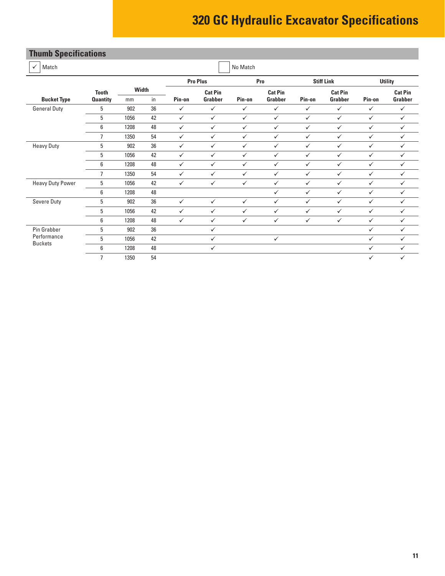# <span id="page-10-0"></span>**Thumb Specifications**

| Match<br>$\checkmark$         |                 |              |    |              |                 | No Match     |                |              |                   |              |                |
|-------------------------------|-----------------|--------------|----|--------------|-----------------|--------------|----------------|--------------|-------------------|--------------|----------------|
|                               |                 |              |    |              | <b>Pro Plus</b> |              | Pro            |              | <b>Stiff Link</b> |              | <b>Utility</b> |
|                               | <b>Tooth</b>    | <b>Width</b> |    |              | <b>Cat Pin</b>  |              | <b>Cat Pin</b> |              | <b>Cat Pin</b>    |              | <b>Cat Pin</b> |
| <b>Bucket Type</b>            | <b>Quantity</b> | mm           | in | Pin-on       | Grabber         | Pin-on       | Grabber        | Pin-on       | Grabber           | Pin-on       | Grabber        |
| <b>General Duty</b>           | 5               | 902          | 36 | $\checkmark$ | $\checkmark$    | $\checkmark$ | $\checkmark$   | $\checkmark$ | $\checkmark$      | $\checkmark$ | $\checkmark$   |
|                               | 5               | 1056         | 42 | $\checkmark$ | $\checkmark$    | $\checkmark$ | $\checkmark$   | $\checkmark$ | $\checkmark$      | $\checkmark$ | $\checkmark$   |
|                               | 6               | 1208         | 48 | $\checkmark$ | $\checkmark$    | $\checkmark$ | $\checkmark$   | $\checkmark$ | $\checkmark$      | $\checkmark$ | $\checkmark$   |
|                               | $\overline{7}$  | 1350         | 54 | ✓            | $\checkmark$    | $\checkmark$ | $\checkmark$   | $\checkmark$ | $\checkmark$      | $\checkmark$ | $\checkmark$   |
| <b>Heavy Duty</b>             | 5               | 902          | 36 | $\checkmark$ | $\checkmark$    | $\checkmark$ | $\checkmark$   | $\checkmark$ | $\checkmark$      | $\checkmark$ | $\checkmark$   |
|                               | 5               | 1056         | 42 | $\checkmark$ | $\checkmark$    | $\checkmark$ | $\checkmark$   | $\checkmark$ | $\checkmark$      | $\checkmark$ | ✓              |
|                               | 6               | 1208         | 48 | $\checkmark$ | $\checkmark$    | $\checkmark$ | $\checkmark$   | $\checkmark$ | $\checkmark$      | $\checkmark$ | $\checkmark$   |
|                               | $\overline{7}$  | 1350         | 54 | $\checkmark$ | $\checkmark$    | $\checkmark$ | $\checkmark$   | $\checkmark$ | $\checkmark$      | $\checkmark$ | $\checkmark$   |
| <b>Heavy Duty Power</b>       | 5               | 1056         | 42 | $\checkmark$ | $\checkmark$    | $\checkmark$ | $\checkmark$   | $\checkmark$ | $\checkmark$      | $\checkmark$ | $\checkmark$   |
|                               | 6               | 1208         | 48 |              |                 |              | $\checkmark$   | $\checkmark$ | $\checkmark$      | $\checkmark$ | $\checkmark$   |
| Severe Duty                   | 5               | 902          | 36 | $\checkmark$ | $\checkmark$    | $\checkmark$ | $\checkmark$   | $\checkmark$ | $\checkmark$      | $\checkmark$ | $\checkmark$   |
|                               | 5               | 1056         | 42 | $\checkmark$ | $\checkmark$    | $\checkmark$ | $\checkmark$   | $\checkmark$ | $\checkmark$      | $\checkmark$ | $\checkmark$   |
|                               | 6               | 1208         | 48 | $\checkmark$ | $\checkmark$    | $\checkmark$ | $\checkmark$   | $\checkmark$ | $\checkmark$      | $\checkmark$ | ✓              |
| Pin Grabber                   | 5               | 902          | 36 |              | $\checkmark$    |              |                |              |                   | $\checkmark$ | $\checkmark$   |
| Performance<br><b>Buckets</b> | 5               | 1056         | 42 |              | $\checkmark$    |              | $\checkmark$   |              |                   | $\checkmark$ | $\checkmark$   |
|                               | 6               | 1208         | 48 |              | $\checkmark$    |              |                |              |                   | ✓            | ✓              |
|                               | $\overline{7}$  | 1350         | 54 |              |                 |              |                |              |                   | $\checkmark$ | $\checkmark$   |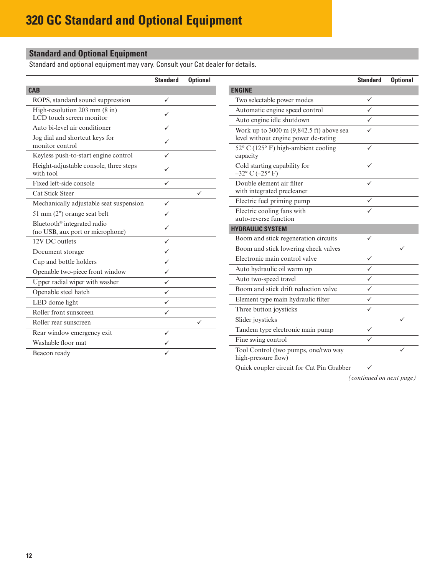# <span id="page-11-0"></span>**Standard and Optional Equipment**

Standard and optional equipment may vary. Consult your Cat dealer for details.

|                                                                             | <b>Standard</b> | <b>Optional</b> |                                                                                      | <b>Standard</b> | <b>Optional</b> |
|-----------------------------------------------------------------------------|-----------------|-----------------|--------------------------------------------------------------------------------------|-----------------|-----------------|
| <b>CAB</b>                                                                  |                 |                 | <b>ENGINE</b>                                                                        |                 |                 |
| ROPS, standard sound suppression                                            | $\checkmark$    |                 | Two selectable power modes                                                           | ✓               |                 |
| High-resolution 203 mm (8 in)                                               | ✓               |                 | Automatic engine speed control                                                       | ✓               |                 |
| LCD touch screen monitor                                                    |                 |                 | Auto engine idle shutdown                                                            | ✓               |                 |
| Auto bi-level air conditioner                                               | $\checkmark$    |                 | Work up to 3000 m (9,842.5 ft) above sea                                             | ✓               |                 |
| Jog dial and shortcut keys for<br>monitor control                           | $\checkmark$    |                 | level without engine power de-rating<br>$52^{\circ}$ C (125° F) high-ambient cooling | ✓               |                 |
| Keyless push-to-start engine control                                        | $\checkmark$    |                 | capacity                                                                             |                 |                 |
| Height-adjustable console, three steps<br>with tool                         | ✓               |                 | Cold starting capability for<br>$-32^{\circ}$ C $(-25^{\circ}$ F)                    | ✓               |                 |
| Fixed left-side console                                                     | $\checkmark$    |                 | Double element air filter                                                            | ✓               |                 |
| <b>Cat Stick Steer</b>                                                      |                 | ✓               | with integrated precleaner                                                           |                 |                 |
| Mechanically adjustable seat suspension                                     | $\checkmark$    |                 | Electric fuel priming pump                                                           | ✓               |                 |
| 51 mm (2") orange seat belt                                                 | $\checkmark$    |                 | Electric cooling fans with                                                           |                 |                 |
| Bluetooth <sup>®</sup> integrated radio<br>(no USB, aux port or microphone) | ✓               |                 | auto-reverse function<br><b>HYDRAULIC SYSTEM</b>                                     |                 |                 |
| 12V DC outlets                                                              | $\checkmark$    |                 | Boom and stick regeneration circuits                                                 | ✓               |                 |
| Document storage                                                            | $\checkmark$    |                 | Boom and stick lowering check valves                                                 |                 | ✓               |
| Cup and bottle holders                                                      | $\checkmark$    |                 | Electronic main control valve                                                        | ✓               |                 |
| Openable two-piece front window                                             | $\checkmark$    |                 | Auto hydraulic oil warm up                                                           | ✓               |                 |
| Upper radial wiper with washer                                              | $\checkmark$    |                 | Auto two-speed travel                                                                | ✓               |                 |
| Openable steel hatch                                                        | $\checkmark$    |                 | Boom and stick drift reduction valve                                                 | ✓               |                 |
| LED dome light                                                              | $\checkmark$    |                 | Element type main hydraulic filter                                                   | $\checkmark$    |                 |
| Roller front sunscreen                                                      | $\checkmark$    |                 | Three button joysticks                                                               | ✓               |                 |
| Roller rear sunscreen                                                       |                 | ✓               | Slider joysticks                                                                     |                 | ✓               |
| Rear window emergency exit                                                  | $\checkmark$    |                 | Tandem type electronic main pump                                                     | $\checkmark$    |                 |
| Washable floor mat                                                          | $\checkmark$    |                 | Fine swing control                                                                   | ✓               |                 |
| Beacon ready                                                                | ✓               |                 | Tool Control (two pumps, one/two way<br>high-pressure flow)                          |                 |                 |

Quick coupler circuit for Cat Pin Grabber  $\checkmark$ 

*(continued on next page)*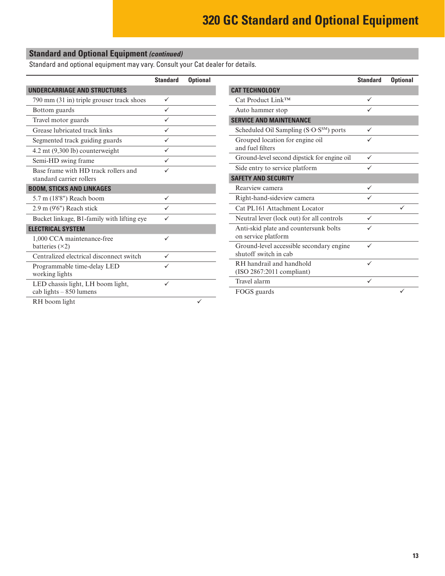# **Standard and Optional Equipment** *(continued)*

Standard and optional equipment may vary. Consult your Cat dealer for details.

|                                            | <b>Standard</b> | <b>Optional</b> |                                                     | <b>Standard</b> | <b>Optional</b> |
|--------------------------------------------|-----------------|-----------------|-----------------------------------------------------|-----------------|-----------------|
| <b>UNDERCARRIAGE AND STRUCTURES</b>        |                 |                 | <b>CAT TECHNOLOGY</b>                               |                 |                 |
| 790 mm (31 in) triple grouser track shoes  | $\checkmark$    |                 | Cat Product Link™                                   | ✓               |                 |
| Bottom guards                              | $\checkmark$    |                 | Auto hammer stop                                    | ✓               |                 |
| Travel motor guards                        | ✓               |                 | <b>SERVICE AND MAINTENANCE</b>                      |                 |                 |
| Grease lubricated track links              | $\checkmark$    |                 | Scheduled Oil Sampling (S.O.S <sup>SM</sup> ) ports | $\checkmark$    |                 |
| Segmented track guiding guards             | ✓               |                 | Grouped location for engine oil                     | ✓               |                 |
| 4.2 mt (9,300 lb) counterweight            | ✓               |                 | and fuel filters                                    |                 |                 |
| Semi-HD swing frame                        | ✓               |                 | Ground-level second dipstick for engine oil         | $\checkmark$    |                 |
| Base frame with HD track rollers and       | ✓               |                 | Side entry to service platform                      | ✓               |                 |
| standard carrier rollers                   |                 |                 | <b>SAFETY AND SECURITY</b>                          |                 |                 |
| <b>BOOM, STICKS AND LINKAGES</b>           |                 |                 | Rearview camera                                     | ✓               |                 |
| 5.7 m (18'8") Reach boom                   | ✓               |                 | Right-hand-sideview camera                          | ✓               |                 |
| 2.9 m (9'6") Reach stick                   | $\checkmark$    |                 | Cat PL161 Attachment Locator                        |                 | ✓               |
| Bucket linkage, B1-family with lifting eye | ✓               |                 | Neutral lever (lock out) for all controls           | $\checkmark$    |                 |
| <b>ELECTRICAL SYSTEM</b>                   |                 |                 | Anti-skid plate and countersunk bolts               | ✓               |                 |
| 1,000 CCA maintenance-free                 | ✓               |                 | on service platform                                 |                 |                 |
| batteries $(x2)$                           |                 |                 | Ground-level accessible secondary engine            | ✓               |                 |
| Centralized electrical disconnect switch   | $\checkmark$    |                 | shutoff switch in cab                               |                 |                 |
| Programmable time-delay LED                | ✓               |                 | RH handrail and handhold                            | ✓               |                 |
| working lights                             |                 |                 | $(ISO 2867:2011$ compliant)                         |                 |                 |
| LED chassis light, LH boom light,          | ✓               |                 | Travel alarm                                        | ✓               |                 |
| cab lights - 850 lumens                    |                 |                 | FOGS guards                                         |                 |                 |
| RH boom light                              |                 | ✓               |                                                     |                 |                 |